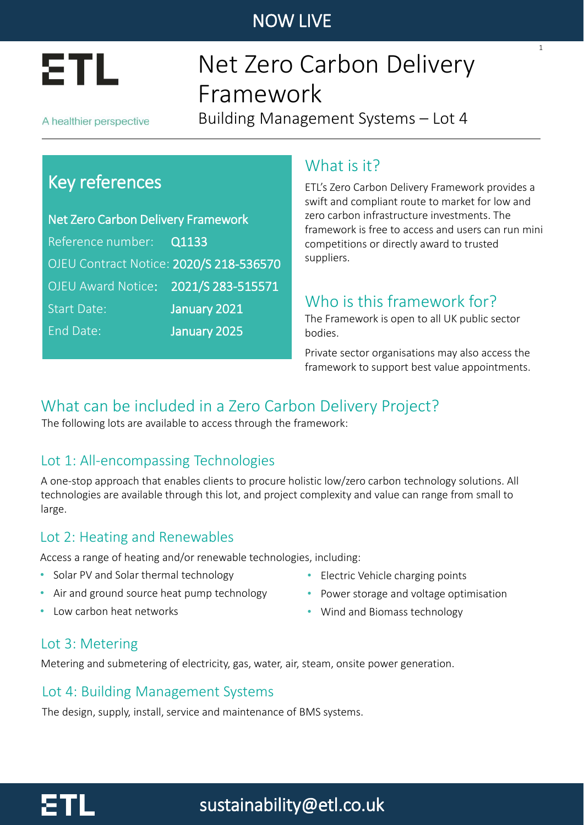

# Net Zero Carbon Delivery Framework

A healthier perspective

Building Management Systems – Lot 4

# Key references

Net Zero Carbon Delivery Framework Reference number: Q1133 OJEU Contract Notice: 2020/S 218-536570 OJEU Award Notice: 2021/S 283-515571 Start Date: January 2021 End Date: January 2025

### What is it?

ETL's Zero Carbon Delivery Framework provides a swift and compliant route to market for low and zero carbon infrastructure investments. The framework is free to access and users can run mini competitions or directly award to trusted suppliers.

1

## Who is this framework for?

The Framework is open to all UK public sector bodies.

Private sector organisations may also access the framework to support best value appointments.

## What can be included in a Zero Carbon Delivery Project?

The following lots are available to access through the framework:

### Lot 1: All-encompassing Technologies

A one-stop approach that enables clients to procure holistic low/zero carbon technology solutions. All technologies are available through this lot, and project complexity and value can range from small to large.

### Lot 2: Heating and Renewables

Access a range of heating and/or renewable technologies, including:

- Solar PV and Solar thermal technology
- Air and ground source heat pump technology
- Low carbon heat networks
- Electric Vehicle charging points
- Power storage and voltage optimisation
- Wind and Biomass technology

#### Lot 3: Metering

Metering and submetering of electricity, gas, water, air, steam, onsite power generation.

#### Lot 4: Building Management Systems

The design, supply, install, service and maintenance of BMS systems.

# sustainability@etl.co.uk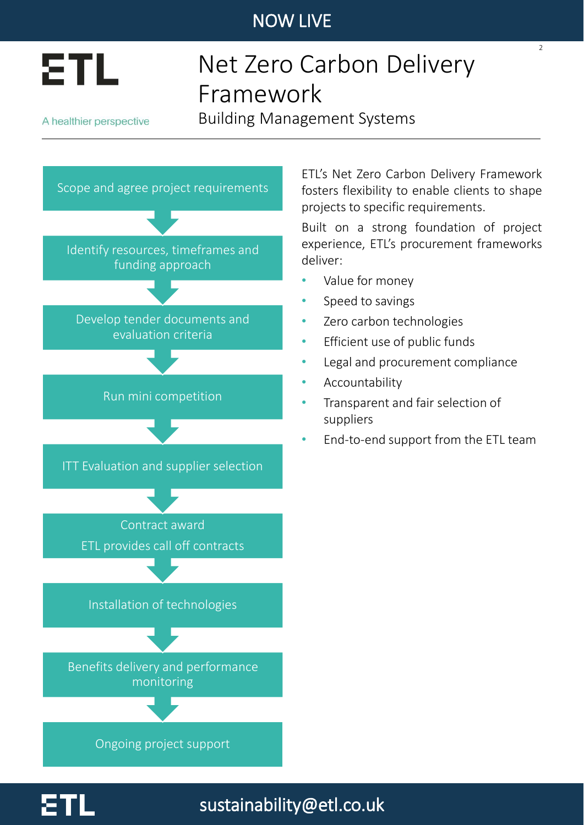

# Net Zero Carbon Delivery Framework

A healthier perspective

Building Management Systems



ETL's Net Zero Carbon Delivery Framework fosters flexibility to enable clients to shape projects to specific requirements.

 $\overline{2}$ 

Built on a strong foundation of project experience, ETL's procurement frameworks deliver:

- Value for money
- Speed to savings
- Zero carbon technologies
- Efficient use of public funds
- Legal and procurement compliance
- **Accountability**

sustainability@etl.co.uk

- Transparent and fair selection of suppliers
- End-to-end support from the ETL team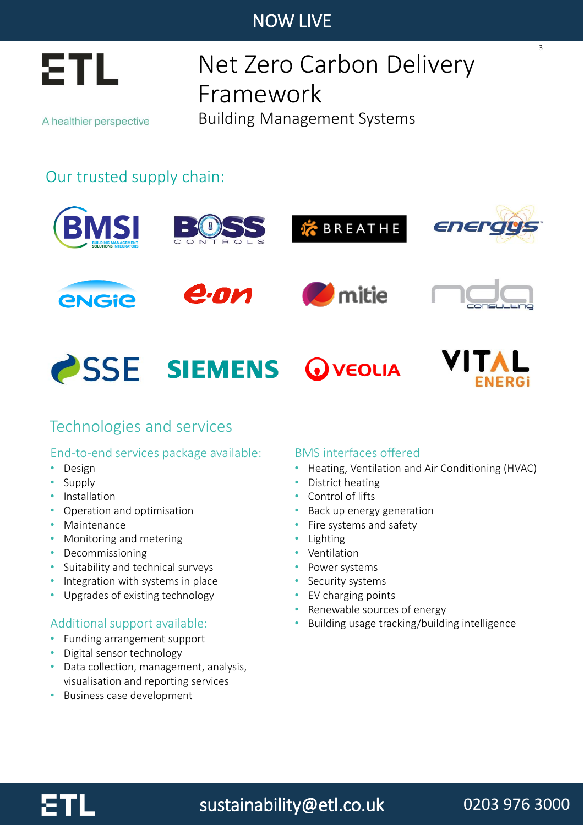

# Net Zero Carbon Delivery Framework

A healthier perspective

Building Management Systems

## Our trusted supply chain:



### Technologies and services

#### End-to-end services package available:

- Design
- Supply
- Installation
- Operation and optimisation
- Maintenance
- Monitoring and metering
- Decommissioning
- Suitability and technical surveys
- Integration with systems in place
- Upgrades of existing technology

#### Additional support available:

- Funding arrangement support
- Digital sensor technology
- Data collection, management, analysis, visualisation and reporting services
- Business case development

#### BMS interfaces offered

- Heating, Ventilation and Air Conditioning (HVAC)
- District heating
- Control of lifts
- Back up energy generation
- Fire systems and safety
- Lighting
- Ventilation
- Power systems
- Security systems
- EV charging points
- Renewable sources of energy
- Building usage tracking/building intelligence



# sustainability@etl.co.uk

## 0203 976 3000

3